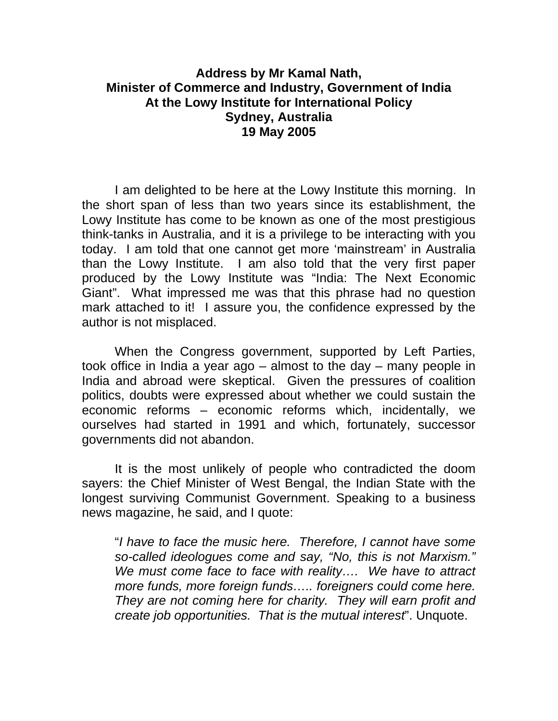## **Address by Mr Kamal Nath, Minister of Commerce and Industry, Government of India At the Lowy Institute for International Policy Sydney, Australia 19 May 2005**

 I am delighted to be here at the Lowy Institute this morning. In the short span of less than two years since its establishment, the Lowy Institute has come to be known as one of the most prestigious think-tanks in Australia, and it is a privilege to be interacting with you today. I am told that one cannot get more 'mainstream' in Australia than the Lowy Institute. I am also told that the very first paper produced by the Lowy Institute was "India: The Next Economic Giant". What impressed me was that this phrase had no question mark attached to it! I assure you, the confidence expressed by the author is not misplaced.

 When the Congress government, supported by Left Parties, took office in India a year ago – almost to the day – many people in India and abroad were skeptical. Given the pressures of coalition politics, doubts were expressed about whether we could sustain the economic reforms – economic reforms which, incidentally, we ourselves had started in 1991 and which, fortunately, successor governments did not abandon.

 It is the most unlikely of people who contradicted the doom sayers: the Chief Minister of West Bengal, the Indian State with the longest surviving Communist Government. Speaking to a business news magazine, he said, and I quote:

 "*I have to face the music here. Therefore, I cannot have some so-called ideologues come and say, "No, this is not Marxism." We must come face to face with reality…. We have to attract more funds, more foreign funds….. foreigners could come here. They are not coming here for charity. They will earn profit and create job opportunities. That is the mutual interest*". Unquote.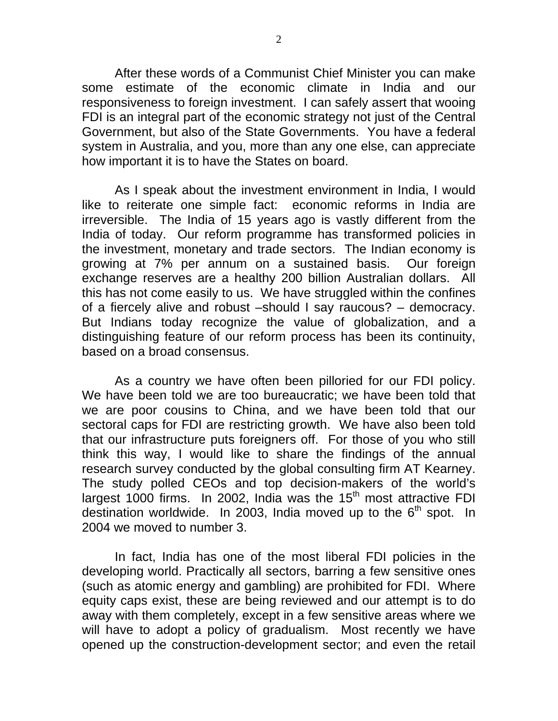After these words of a Communist Chief Minister you can make some estimate of the economic climate in India and our responsiveness to foreign investment. I can safely assert that wooing FDI is an integral part of the economic strategy not just of the Central Government, but also of the State Governments. You have a federal system in Australia, and you, more than any one else, can appreciate how important it is to have the States on board.

 As I speak about the investment environment in India, I would like to reiterate one simple fact: economic reforms in India are irreversible. The India of 15 years ago is vastly different from the India of today. Our reform programme has transformed policies in the investment, monetary and trade sectors. The Indian economy is growing at 7% per annum on a sustained basis. Our foreign exchange reserves are a healthy 200 billion Australian dollars. All this has not come easily to us. We have struggled within the confines of a fiercely alive and robust –should I say raucous? – democracy. But Indians today recognize the value of globalization, and a distinguishing feature of our reform process has been its continuity, based on a broad consensus.

 As a country we have often been pilloried for our FDI policy. We have been told we are too bureaucratic; we have been told that we are poor cousins to China, and we have been told that our sectoral caps for FDI are restricting growth. We have also been told that our infrastructure puts foreigners off. For those of you who still think this way, I would like to share the findings of the annual research survey conducted by the global consulting firm AT Kearney. The study polled CEOs and top decision-makers of the world's largest  $1000$  firms. In 2002, India was the  $15<sup>th</sup>$  most attractive FDI destination worldwide. In 2003, India moved up to the  $6<sup>th</sup>$  spot. In 2004 we moved to number 3.

 In fact, India has one of the most liberal FDI policies in the developing world. Practically all sectors, barring a few sensitive ones (such as atomic energy and gambling) are prohibited for FDI. Where equity caps exist, these are being reviewed and our attempt is to do away with them completely, except in a few sensitive areas where we will have to adopt a policy of gradualism. Most recently we have opened up the construction-development sector; and even the retail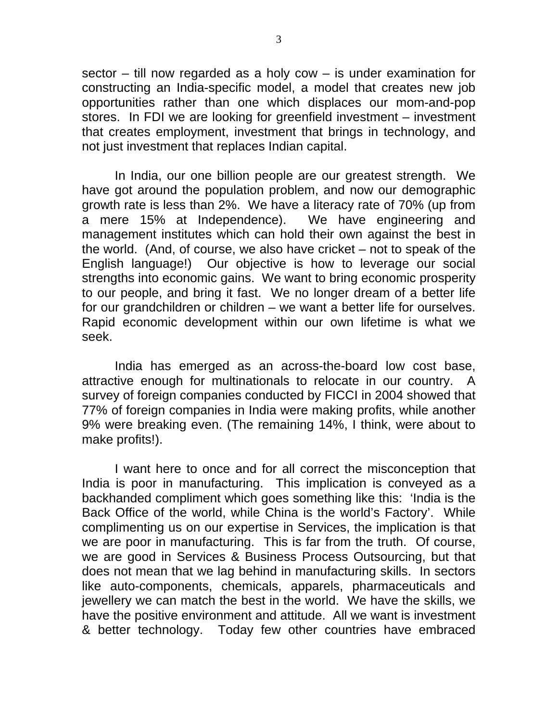sector – till now regarded as a holy cow – is under examination for constructing an India-specific model, a model that creates new job opportunities rather than one which displaces our mom-and-pop stores. In FDI we are looking for greenfield investment – investment that creates employment, investment that brings in technology, and not just investment that replaces Indian capital.

 In India, our one billion people are our greatest strength. We have got around the population problem, and now our demographic growth rate is less than 2%. We have a literacy rate of 70% (up from a mere 15% at Independence). We have engineering and management institutes which can hold their own against the best in the world. (And, of course, we also have cricket – not to speak of the English language!) Our objective is how to leverage our social strengths into economic gains. We want to bring economic prosperity to our people, and bring it fast. We no longer dream of a better life for our grandchildren or children – we want a better life for ourselves. Rapid economic development within our own lifetime is what we seek.

 India has emerged as an across-the-board low cost base, attractive enough for multinationals to relocate in our country. A survey of foreign companies conducted by FICCI in 2004 showed that 77% of foreign companies in India were making profits, while another 9% were breaking even. (The remaining 14%, I think, were about to make profits!).

 I want here to once and for all correct the misconception that India is poor in manufacturing. This implication is conveyed as a backhanded compliment which goes something like this: 'India is the Back Office of the world, while China is the world's Factory'. While complimenting us on our expertise in Services, the implication is that we are poor in manufacturing. This is far from the truth. Of course, we are good in Services & Business Process Outsourcing, but that does not mean that we lag behind in manufacturing skills. In sectors like auto-components, chemicals, apparels, pharmaceuticals and jewellery we can match the best in the world. We have the skills, we have the positive environment and attitude. All we want is investment & better technology. Today few other countries have embraced